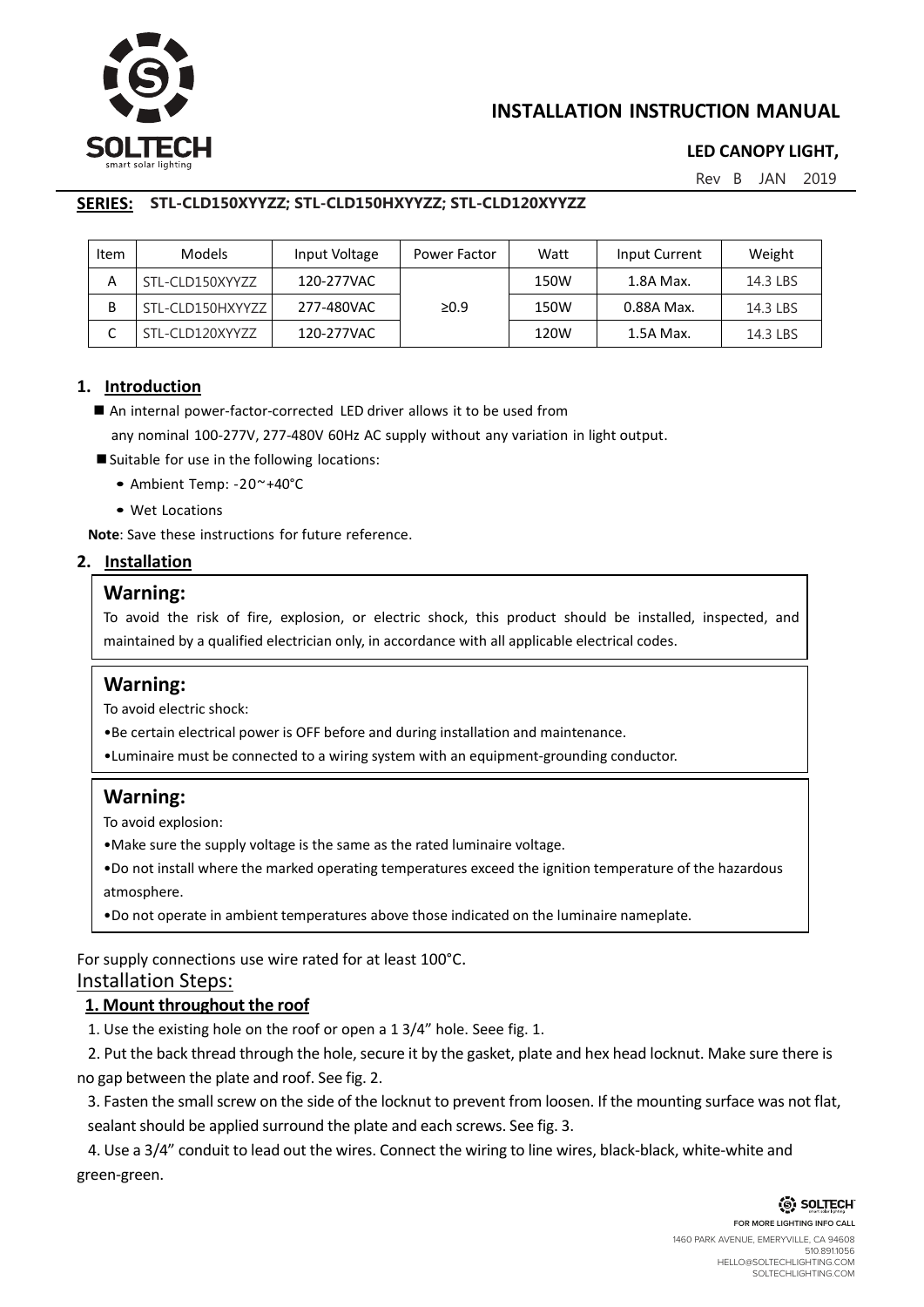

# **INSTALLATION INSTRUCTION MANUAL**

# **LED CANOPY LIGHT,**

Rev B JAN 2019

#### **SERIES: TLCLD150XYYZZ; TLCLD150HXYYZZ; TLCLD120XYYZZ STL-CLD150XYYZZ; STL-CLD150HXYYZZ; STL-CLD120XYYZZ**

| Item | <b>Models</b>    | Input Voltage | Power Factor | Watt | Input Current | Weight   |
|------|------------------|---------------|--------------|------|---------------|----------|
| А    | STL-CLD150XYYZZ  | 120-277VAC    |              | 150W | 1.8A Max.     | 14.3 LBS |
| В    | STL-CLD150HXYYZZ | 277-480VAC    | $\geq 0.9$   | 150W | 0.88A Max.    | 14.3 LBS |
|      | STL-CLD120XYYZZ  | 120-277VAC    |              | 120W | 1.5A Max.     | 14.3 LBS |

#### **1. Introduction**

■ An internal power-factor-corrected LED driver allows it to be used from

any nominal 100-277V, 277-480V 60Hz AC supply without any variation in light output.

- Suitable for use in the following locations:
	- Ambient Temp: -20~+40°C
	- Wet Locations

**Note**: Save these instructions for future reference.

#### **2. Installation**

#### **Warning:**

To avoid the risk of fire, explosion, or electric shock, this product should be installed, inspected, and maintained by a qualified electrician only, in accordance with all applicable electrical codes.

# **Warning:**

To avoid electric shock:

•Be certain electrical power is OFF before and during installation and maintenance.

•Luminaire must be connected to a wiring system with an equipment-grounding conductor.

# **Warning:**

To avoid explosion:

•Make sure the supply voltage is the same as the rated luminaire voltage.

•Do not install where the marked operating temperatures exceed the ignition temperature of the hazardous atmosphere.

•Do not operate in ambient temperatures above those indicated on the luminaire nameplate.

For supply connections use wire rated for at least 100°C.

### Installation Steps:

# **1. Mount throughout the roof**

1. Use the existing hole on the roof or open a 1 3/4" hole. Seee fig. 1.

2. Put the back thread through the hole, secure it by the gasket, plate and hex head locknut. Make sure there is no gap between the plate and roof. See fig. 2.

3. Fasten the small screw on the side of the locknut to prevent from loosen. If the mounting surface was not flat, sealant should be applied surround the plate and each screws. See fig. 3.

4. Use a 3/4" conduit to lead out the wires. Connect the wiring to line wires, black-black, white-white and green-green.

> (S) SOLTECH **FOR MORE LIGHTING INFO CALL** 1460 PARK AVENUE, EMERYVILLE, CA 94608 510.891.1056 HELLO@SOLTECHLIGHTING.COM SOLTECHLIGHTING.COM